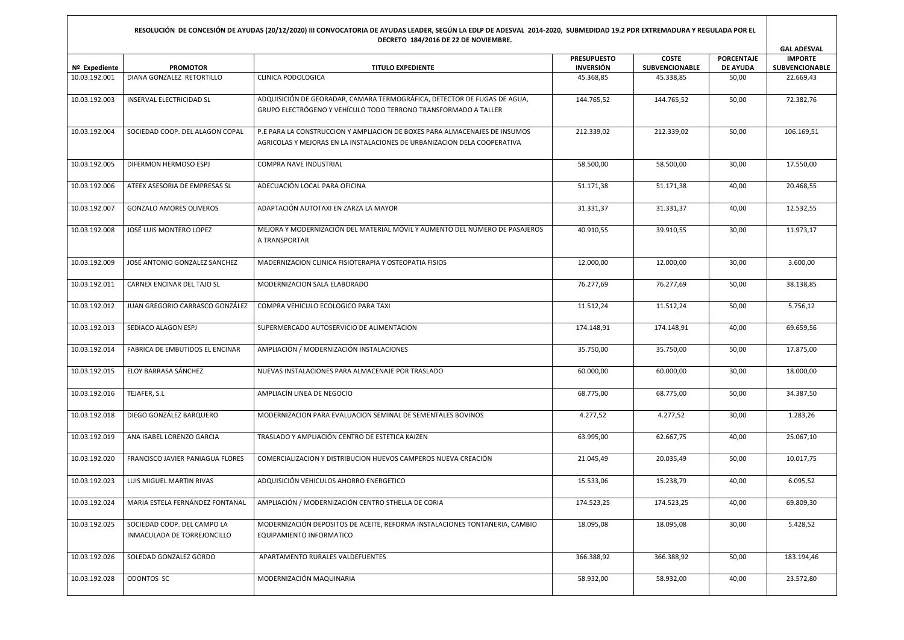## **RESOLUCIÓN DE CONCESIÓN DE AYUDAS (20/12/2020) III CONVOCATORIA DE AYUDAS LEADER, SEGÚN LA EDLP DE ADESVAL 2014-2020, SUBMEDIDAD 19.2 PDR EXTREMADURA Y REGULADA POR EL DECRETO 184/2016 DE 22 DE NOVIEMBRE.**

|               |                                                            |                                                                                                                                                        |                                        |                                |                                      | <b>GAL ADESVAL</b>               |
|---------------|------------------------------------------------------------|--------------------------------------------------------------------------------------------------------------------------------------------------------|----------------------------------------|--------------------------------|--------------------------------------|----------------------------------|
| Nº Expediente | <b>PROMOTOR</b>                                            | <b>TITULO EXPEDIENTE</b>                                                                                                                               | <b>PRESUPUESTO</b><br><b>INVERSIÓN</b> | <b>COSTE</b><br>SUBVENCIONABLE | <b>PORCENTAJE</b><br><b>DE AYUDA</b> | <b>IMPORTE</b><br>SUBVENCIONABLE |
| 10.03.192.001 | DIANA GONZALEZ RETORTILLO                                  | CLINICA PODOLOGICA                                                                                                                                     | 45.368,85                              | 45.338.85                      | 50,00                                | 22.669,43                        |
| 10.03.192.003 | <b>INSERVAL ELECTRICIDAD SL</b>                            | ADQUISICIÓN DE GEORADAR, CAMARA TERMOGRÁFICA, DETECTOR DE FUGAS DE AGUA,<br>GRUPO ELECTRÓGENO Y VEHÍCULO TODO TERRONO TRANSFORMADO A TALLER            | 144.765,52                             | 144.765,52                     | 50,00                                | 72.382,76                        |
| 10.03.192.004 | SOCIEDAD COOP. DEL ALAGON COPAL                            | P.E PARA LA CONSTRUCCION Y AMPLIACION DE BOXES PARA ALMACENAJES DE INSUMOS<br>AGRICOLAS Y MEJORAS EN LA INSTALACIONES DE URBANIZACION DELA COOPERATIVA | 212.339,02                             | 212.339,02                     | 50,00                                | 106.169,51                       |
| 10.03.192.005 | DIFERMON HERMOSO ESPJ                                      | COMPRA NAVE INDUSTRIAL                                                                                                                                 | 58.500,00                              | 58.500,00                      | 30,00                                | 17.550,00                        |
| 10.03.192.006 | ATEEX ASESORIA DE EMPRESAS SL                              | ADECUACIÓN LOCAL PARA OFICINA                                                                                                                          | 51.171,38                              | 51.171,38                      | 40,00                                | 20.468,55                        |
| 10.03.192.007 | <b>GONZALO AMORES OLIVEROS</b>                             | ADAPTACIÓN AUTOTAXI EN ZARZA LA MAYOR                                                                                                                  | 31.331,37                              | 31.331,37                      | 40,00                                | 12.532,55                        |
| 10.03.192.008 | JOSÉ LUIS MONTERO LOPEZ                                    | MEJORA Y MODERNIZACIÓN DEL MATERIAL MÓVIL Y AUMENTO DEL NÚMERO DE PASAJEROS<br>A TRANSPORTAR                                                           | 40.910,55                              | 39.910,55                      | 30,00                                | 11.973,17                        |
| 10.03.192.009 | JOSÉ ANTONIO GONZALEZ SANCHEZ                              | MADERNIZACION CLINICA FISIOTERAPIA Y OSTEOPATIA FISIOS                                                                                                 | 12.000,00                              | 12.000,00                      | 30,00                                | 3.600,00                         |
| 10.03.192.011 | CARNEX ENCINAR DEL TAJO SL                                 | MODERNIZACION SALA ELABORADO                                                                                                                           | 76.277,69                              | 76.277,69                      | 50,00                                | 38.138,85                        |
| 10.03.192.012 | JUAN GREGORIO CARRASCO GONZÁLEZ                            | COMPRA VEHICULO ECOLOGICO PARA TAXI                                                                                                                    | 11.512,24                              | 11.512,24                      | 50,00                                | 5.756,12                         |
| 10.03.192.013 | SEDIACO ALAGON ESPJ                                        | SUPERMERCADO AUTOSERVICIO DE ALIMENTACION                                                                                                              | 174.148,91                             | 174.148,91                     | 40,00                                | 69.659,56                        |
| 10.03.192.014 | FABRICA DE EMBUTIDOS EL ENCINAR                            | AMPLIACIÓN / MODERNIZACIÓN INSTALACIONES                                                                                                               | 35.750,00                              | 35.750,00                      | 50,00                                | 17.875,00                        |
| 10.03.192.015 | ELOY BARRASA SÁNCHEZ                                       | NUEVAS INSTALACIONES PARA ALMACENAJE POR TRASLADO                                                                                                      | 60.000,00                              | 60.000,00                      | 30,00                                | 18.000,00                        |
| 10.03.192.016 | TEJAFER, S.L                                               | AMPLIACÍN LINEA DE NEGOCIO                                                                                                                             | 68.775,00                              | 68.775,00                      | 50,00                                | 34.387,50                        |
| 10.03.192.018 | DIEGO GONZÁLEZ BARQUERO                                    | MODERNIZACION PARA EVALUACION SEMINAL DE SEMENTALES BOVINOS                                                                                            | 4.277,52                               | 4.277,52                       | 30,00                                | 1.283,26                         |
| 10.03.192.019 | ANA ISABEL LORENZO GARCIA                                  | TRASLADO Y AMPLIACIÓN CENTRO DE ESTETICA KAIZEN                                                                                                        | 63.995,00                              | 62.667,75                      | 40,00                                | 25.067,10                        |
| 10.03.192.020 | FRANCISCO JAVIER PANIAGUA FLORES                           | COMERCIALIZACION Y DISTRIBUCION HUEVOS CAMPEROS NUEVA CREACIÓN                                                                                         | 21.045,49                              | 20.035,49                      | 50,00                                | 10.017,75                        |
| 10.03.192.023 | LUIS MIGUEL MARTIN RIVAS                                   | ADQUISICIÓN VEHICULOS AHORRO ENERGETICO                                                                                                                | 15.533,06                              | 15.238,79                      | 40,00                                | 6.095,52                         |
| 10.03.192.024 | MARIA ESTELA FERNÁNDEZ FONTANAL                            | AMPLIACIÓN / MODERNIZACIÓN CENTRO STHELLA DE CORIA                                                                                                     | 174.523,25                             | 174.523,25                     | 40,00                                | 69.809,30                        |
| 10.03.192.025 | SOCIEDAD COOP. DEL CAMPO LA<br>INMACULADA DE TORREJONCILLO | MODERNIZACIÓN DEPOSITOS DE ACEITE, REFORMA INSTALACIONES TONTANERIA, CAMBIO<br>EQUIPAMIENTO INFORMATICO                                                | 18.095,08                              | 18.095,08                      | 30,00                                | 5.428,52                         |
| 10.03.192.026 | SOLEDAD GONZALEZ GORDO                                     | APARTAMENTO RURALES VALDEFUENTES                                                                                                                       | 366.388,92                             | 366.388,92                     | 50,00                                | 183.194,46                       |
| 10.03.192.028 | ODONTOS SC                                                 | MODERNIZACIÓN MAQUINARIA                                                                                                                               | 58.932,00                              | 58.932,00                      | 40,00                                | 23.572,80                        |